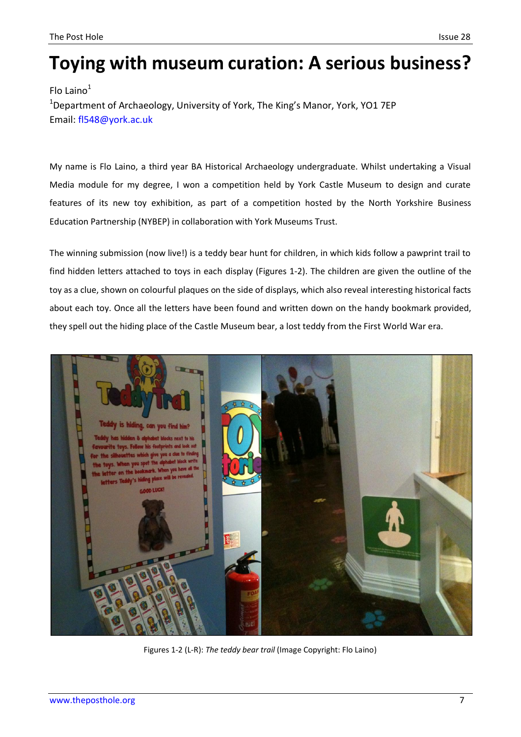## **Toying with museum curation: A serious business?**

Flo Laino $<sup>1</sup>$ </sup> <sup>1</sup>Department of Archaeology, University of York, The King's Manor, York, YO1 7EP Email: [fl548@york.ac.uk](mailto:fl548@york.ac.uk)

My name is Flo Laino, a third year BA Historical Archaeology undergraduate. Whilst undertaking a Visual Media module for my degree, I won a competition held by York Castle Museum to design and curate features of its new toy exhibition, as part of a competition hosted by the North Yorkshire Business Education Partnership (NYBEP) in collaboration with York Museums Trust.

The winning submission (now live!) is a teddy bear hunt for children, in which kids follow a pawprint trail to find hidden letters attached to toys in each display (Figures 1-2). The children are given the outline of the toy as a clue, shown on colourful plaques on the side of displays, which also reveal interesting historical facts about each toy. Once all the letters have been found and written down on the handy bookmark provided, they spell out the hiding place of the Castle Museum bear, a lost teddy from the First World War era.



Figures 1-2 (L-R): *The teddy bear trail* (Image Copyright: Flo Laino)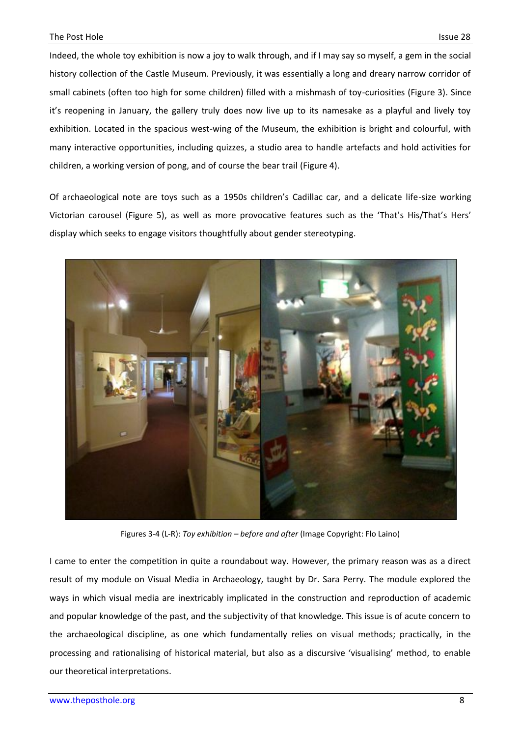Indeed, the whole toy exhibition is now a joy to walk through, and if I may say so myself, a gem in the social history collection of the Castle Museum. Previously, it was essentially a long and dreary narrow corridor of small cabinets (often too high for some children) filled with a mishmash of toy-curiosities (Figure 3). Since it's reopening in January, the gallery truly does now live up to its namesake as a playful and lively toy exhibition. Located in the spacious west-wing of the Museum, the exhibition is bright and colourful, with many interactive opportunities, including quizzes, a studio area to handle artefacts and hold activities for children, a working version of pong, and of course the bear trail (Figure 4).

Of archaeological note are toys such as a 1950s children's Cadillac car, and a delicate life-size working Victorian carousel (Figure 5), as well as more provocative features such as the 'That's His/That's Hers' display which seeks to engage visitors thoughtfully about gender stereotyping.



Figures 3-4 (L-R): *Toy exhibition – before and after* (Image Copyright: Flo Laino)

I came to enter the competition in quite a roundabout way. However, the primary reason was as a direct result of my module on Visual Media in Archaeology, taught by Dr. Sara Perry. The module explored the ways in which visual media are inextricably implicated in the construction and reproduction of academic and popular knowledge of the past, and the subjectivity of that knowledge. This issue is of acute concern to the archaeological discipline, as one which fundamentally relies on visual methods; practically, in the processing and rationalising of historical material, but also as a discursive 'visualising' method, to enable our theoretical interpretations.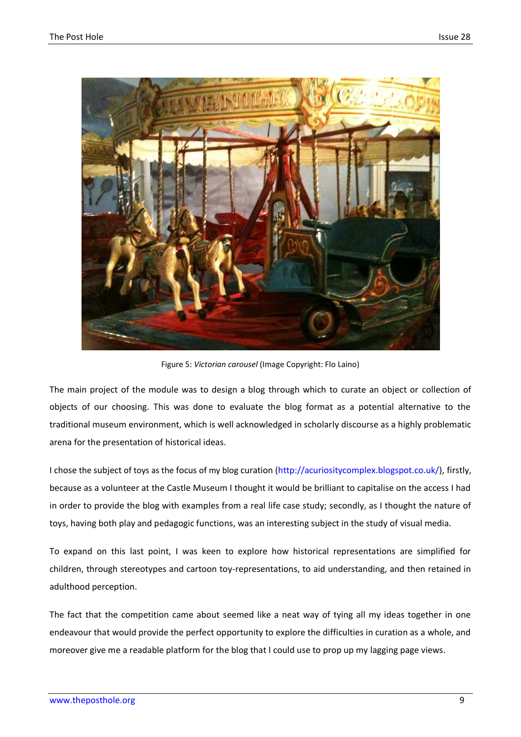

Figure 5: *Victorian carousel* (Image Copyright: Flo Laino)

The main project of the module was to design a blog through which to curate an object or collection of objects of our choosing. This was done to evaluate the blog format as a potential alternative to the traditional museum environment, which is well acknowledged in scholarly discourse as a highly problematic arena for the presentation of historical ideas.

I chose the subject of toys as the focus of my blog curation [\(http://acuriositycomplex.blogspot.co.uk/\)](http://acuriositycomplex.blogspot.co.uk/), firstly, because as a volunteer at the Castle Museum I thought it would be brilliant to capitalise on the access I had in order to provide the blog with examples from a real life case study; secondly, as I thought the nature of toys, having both play and pedagogic functions, was an interesting subject in the study of visual media.

To expand on this last point, I was keen to explore how historical representations are simplified for children, through stereotypes and cartoon toy-representations, to aid understanding, and then retained in adulthood perception.

The fact that the competition came about seemed like a neat way of tying all my ideas together in one endeavour that would provide the perfect opportunity to explore the difficulties in curation as a whole, and moreover give me a readable platform for the blog that I could use to prop up my lagging page views.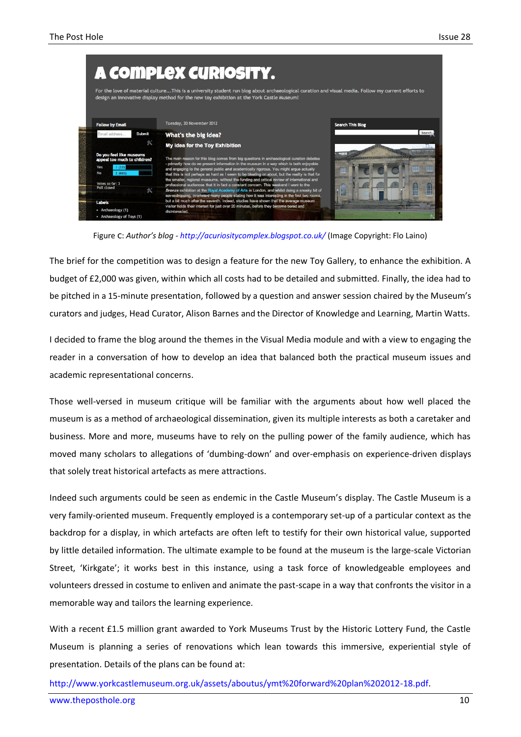

Figure : *Author's blog -<http://acuriositycomplex.blogspot.co.uk/>* (Image Copyright: Flo Laino)

The brief for the competition was to design a feature for the new Toy Gallery, to enhance the exhibition. A budget of £2,000 was given, within which all costs had to be detailed and submitted. Finally, the idea had to be pitched in a 15-minute presentation, followed by a question and answer session chaired by the Museum's curators and judges, Head Curator, Alison Barnes and the Director of Knowledge and Learning, Martin Watts.

I decided to frame the blog around the themes in the Visual Media module and with a view to engaging the reader in a conversation of how to develop an idea that balanced both the practical museum issues and academic representational concerns.

Those well-versed in museum critique will be familiar with the arguments about how well placed the museum is as a method of archaeological dissemination, given its multiple interests as both a caretaker and business. More and more, museums have to rely on the pulling power of the family audience, which has moved many scholars to allegations of 'dumbing-down' and over-emphasis on experience-driven displays that solely treat historical artefacts as mere attractions.

Indeed such arguments could be seen as endemic in the Castle Museum's display. The Castle Museum is a very family-oriented museum. Frequently employed is a contemporary set-up of a particular context as the backdrop for a display, in which artefacts are often left to testify for their own historical value, supported by little detailed information. The ultimate example to be found at the museum is the large-scale Victorian Street, 'Kirkgate'; it works best in this instance, using a task force of knowledgeable employees and volunteers dressed in costume to enliven and animate the past-scape in a way that confronts the visitor in a memorable way and tailors the learning experience.

With a recent £1.5 million grant awarded to York Museums Trust by the Historic Lottery Fund, the Castle Museum is planning a series of renovations which lean towards this immersive, experiential style of presentation. Details of the plans can be found at:

[http://www.yorkcastlemuseum.org.uk/assets/aboutus/ymt%20forward%20plan%202012-18.pdf.](http://www.yorkcastlemuseum.org.uk/assets/aboutus/ymt%20forward%20plan%202012-18.pdf)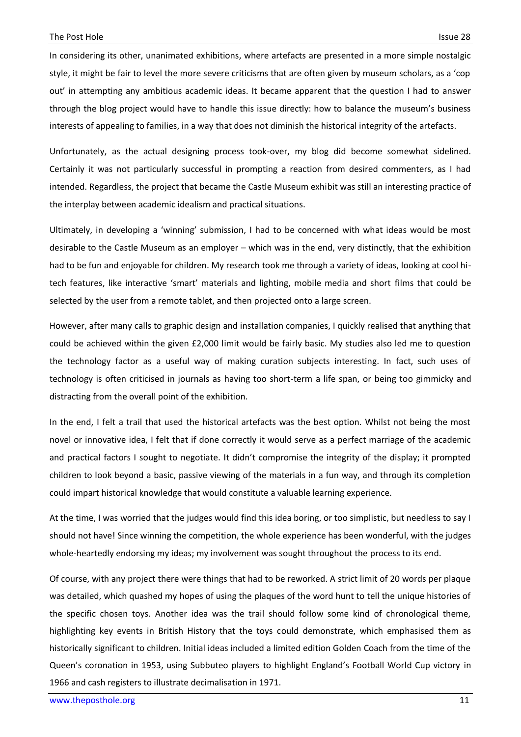In considering its other, unanimated exhibitions, where artefacts are presented in a more simple nostalgic style, it might be fair to level the more severe criticisms that are often given by museum scholars, as a 'cop out' in attempting any ambitious academic ideas. It became apparent that the question I had to answer through the blog project would have to handle this issue directly: how to balance the museum's business interests of appealing to families, in a way that does not diminish the historical integrity of the artefacts.

Unfortunately, as the actual designing process took-over, my blog did become somewhat sidelined. Certainly it was not particularly successful in prompting a reaction from desired commenters, as I had intended. Regardless, the project that became the Castle Museum exhibit was still an interesting practice of the interplay between academic idealism and practical situations.

Ultimately, in developing a 'winning' submission, I had to be concerned with what ideas would be most desirable to the Castle Museum as an employer – which was in the end, very distinctly, that the exhibition had to be fun and enjoyable for children. My research took me through a variety of ideas, looking at cool hitech features, like interactive 'smart' materials and lighting, mobile media and short films that could be selected by the user from a remote tablet, and then projected onto a large screen.

However, after many calls to graphic design and installation companies, I quickly realised that anything that could be achieved within the given £2,000 limit would be fairly basic. My studies also led me to question the technology factor as a useful way of making curation subjects interesting. In fact, such uses of technology is often criticised in journals as having too short-term a life span, or being too gimmicky and distracting from the overall point of the exhibition.

In the end, I felt a trail that used the historical artefacts was the best option. Whilst not being the most novel or innovative idea, I felt that if done correctly it would serve as a perfect marriage of the academic and practical factors I sought to negotiate. It didn't compromise the integrity of the display; it prompted children to look beyond a basic, passive viewing of the materials in a fun way, and through its completion could impart historical knowledge that would constitute a valuable learning experience.

At the time, I was worried that the judges would find this idea boring, or too simplistic, but needless to say I should not have! Since winning the competition, the whole experience has been wonderful, with the judges whole-heartedly endorsing my ideas; my involvement was sought throughout the process to its end.

Of course, with any project there were things that had to be reworked. A strict limit of 20 words per plaque was detailed, which quashed my hopes of using the plaques of the word hunt to tell the unique histories of the specific chosen toys. Another idea was the trail should follow some kind of chronological theme, highlighting key events in British History that the toys could demonstrate, which emphasised them as historically significant to children. Initial ideas included a limited edition Golden Coach from the time of the Queen's coronation in 1953, using Subbuteo players to highlight England's Football World Cup victory in 1966 and cash registers to illustrate decimalisation in 1971.